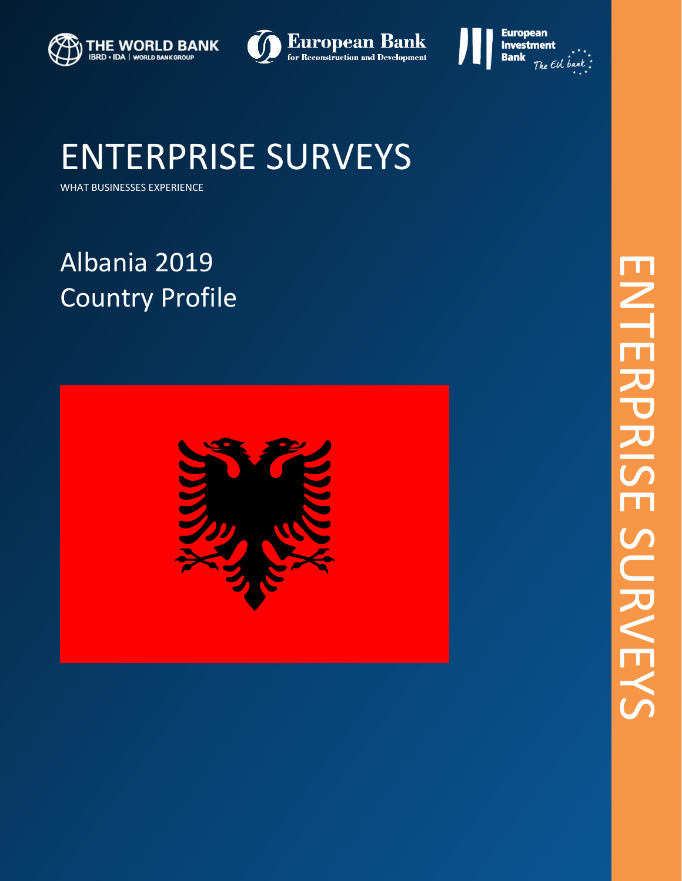





WHAT BUSINESSES EXPERIENCE

# Albania 2019 Country Profile

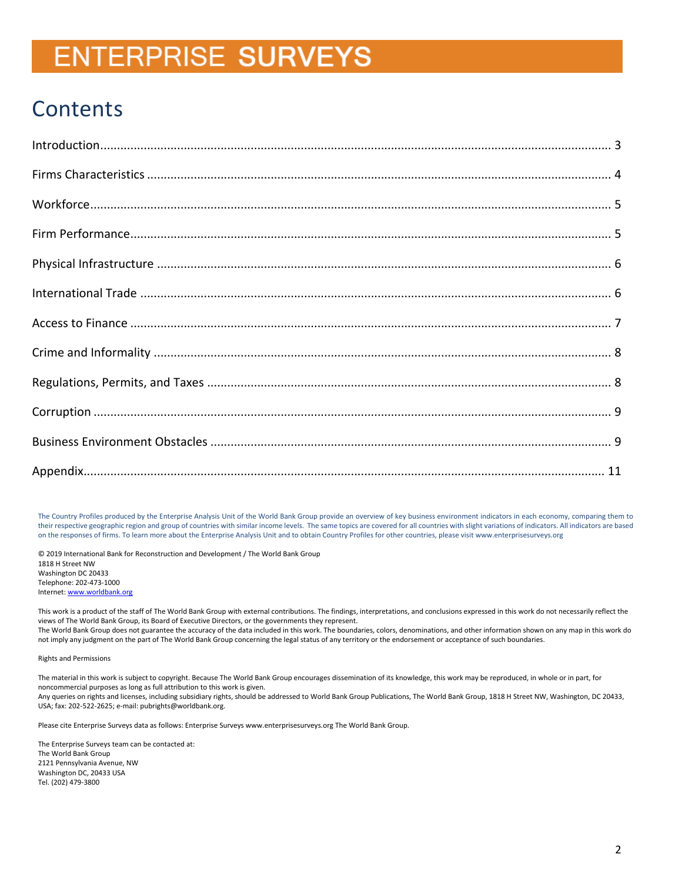## **Contents**

The Country Profiles produced by the Enterprise Analysis Unit of the World Bank Group provide an overview of key business environment indicators in each economy, comparing them to their respective geographic region and group of countries with similar income levels. The same topics are covered for all countries with slight variations of indicators. All indicators are based on the responses of firms. To learn more about the Enterprise Analysis Unit and to obtain Country Profiles for other countries, please visit www.enterprisesurveys.org

© 2019 International Bank for Reconstruction and Development / The World Bank Group 1818 H Street NW Washington DC 20433 Telephone: 202-473-1000 Internet[: www.worldbank.org](http://www.worldbank.org/)

This work is a product of the staff of The World Bank Group with external contributions. The findings, interpretations, and conclusions expressed in this work do not necessarily reflect the views of The World Bank Group, its Board of Executive Directors, or the governments they represent. The World Bank Group does not guarantee the accuracy of the data included in this work. The boundaries, colors, denominations, and other information shown on any map in this work do not imply any judgment on the part of The World Bank Group concerning the legal status of any territory or the endorsement or acceptance of such boundaries.

Rights and Permissions

The material in this work is subject to copyright. Because The World Bank Group encourages dissemination of its knowledge, this work may be reproduced, in whole or in part, for noncommercial purposes as long as full attribution to this work is given. Any queries on rights and licenses, including subsidiary rights, should be addressed to World Bank Group Publications, The World Bank Group, 1818 H Street NW, Washington, DC 20433, USA; fax: 202-522-2625; e-mail: pubrights@worldbank.org.

Please cite Enterprise Surveys data as follows: Enterprise Surveys www.enterprisesurveys.org The World Bank Group.

The Enterprise Surveys team can be contacted at: The World Bank Group 2121 Pennsylvania Avenue, NW Washington DC, 20433 USA Tel. (202) 479-3800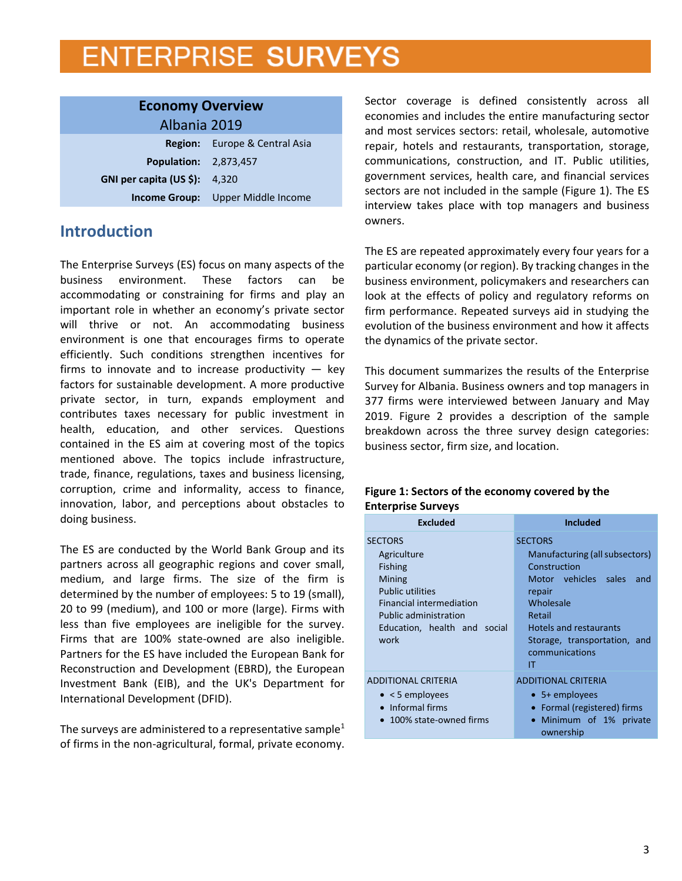<span id="page-2-0"></span>

| <b>Economy Overview</b>         |                                          |  |  |  |  |
|---------------------------------|------------------------------------------|--|--|--|--|
| Albania 2019                    |                                          |  |  |  |  |
|                                 | <b>Region:</b> Europe & Central Asia     |  |  |  |  |
| <b>Population: 2,873,457</b>    |                                          |  |  |  |  |
| GNI per capita (US \$): $4,320$ |                                          |  |  |  |  |
|                                 | <b>Income Group:</b> Upper Middle Income |  |  |  |  |

## **Introduction**

The Enterprise Surveys (ES) focus on many aspects of the business environment. These factors can be accommodating or constraining for firms and play an important role in whether an economy's private sector will thrive or not. An accommodating business environment is one that encourages firms to operate efficiently. Such conditions strengthen incentives for firms to innovate and to increase productivity  $-$  key factors for sustainable development. A more productive private sector, in turn, expands employment and contributes taxes necessary for public investment in health, education, and other services. Questions contained in the ES aim at covering most of the topics mentioned above. The topics include infrastructure, trade, finance, regulations, taxes and business licensing, corruption, crime and informality, access to finance, innovation, labor, and perceptions about obstacles to doing business.

The ES are conducted by the World Bank Group and its partners across all geographic regions and cover small, medium, and large firms. The size of the firm is determined by the number of employees: 5 to 19 (small), 20 to 99 (medium), and 100 or more (large). Firms with less than five employees are ineligible for the survey. Firms that are 100% state-owned are also ineligible. Partners for the ES have included the European Bank for Reconstruction and Development (EBRD), the European Investment Bank (EIB), and the UK's Department for International Development (DFID).

The surveys are administered to a representative sample<sup>1</sup> of firms in the non-agricultural, formal, private economy. Sector coverage is defined consistently across all economies and includes the entire manufacturing sector and most services sectors: retail, wholesale, automotive repair, hotels and restaurants, transportation, storage, communications, construction, and IT. Public utilities, government services, health care, and financial services sectors are not included in the sample (Figure 1). The ES interview takes place with top managers and business owners.

The ES are repeated approximately every four years for a particular economy (or region). By tracking changes in the business environment, policymakers and researchers can look at the effects of policy and regulatory reforms on firm performance. Repeated surveys aid in studying the evolution of the business environment and how it affects the dynamics of the private sector.

This document summarizes the results of the Enterprise Survey for Albania. Business owners and top managers in 377 firms were interviewed between January and May 2019. Figure 2 provides a description of the sample breakdown across the three survey design categories: business sector, firm size, and location.

#### **Figure 1: Sectors of the economy covered by the Enterprise Surveys**

| <b>Excluded</b>                                                                                                                                                                                 | <b>Included</b>                                                                                                                                                                                                           |  |  |  |  |  |  |
|-------------------------------------------------------------------------------------------------------------------------------------------------------------------------------------------------|---------------------------------------------------------------------------------------------------------------------------------------------------------------------------------------------------------------------------|--|--|--|--|--|--|
| <b>SECTORS</b><br>Agriculture<br><b>Fishing</b><br>Mining<br><b>Public utilities</b><br><b>Financial intermediation</b><br><b>Public administration</b><br>Education, health and social<br>work | <b>SECTORS</b><br>Manufacturing (all subsectors)<br>Construction<br>Motor vehicles sales<br>and<br>repair<br>Wholesale<br>Retail<br><b>Hotels and restaurants</b><br>Storage, transportation, and<br>communications<br>ΙT |  |  |  |  |  |  |
| <b>ADDITIONAL CRITERIA</b><br>$\bullet$ < 5 employees<br>• Informal firms<br>100% state-owned firms                                                                                             | <b>ADDITIONAL CRITERIA</b><br>$\bullet$ 5+ employees<br>• Formal (registered) firms<br>· Minimum of 1% private<br>ownership                                                                                               |  |  |  |  |  |  |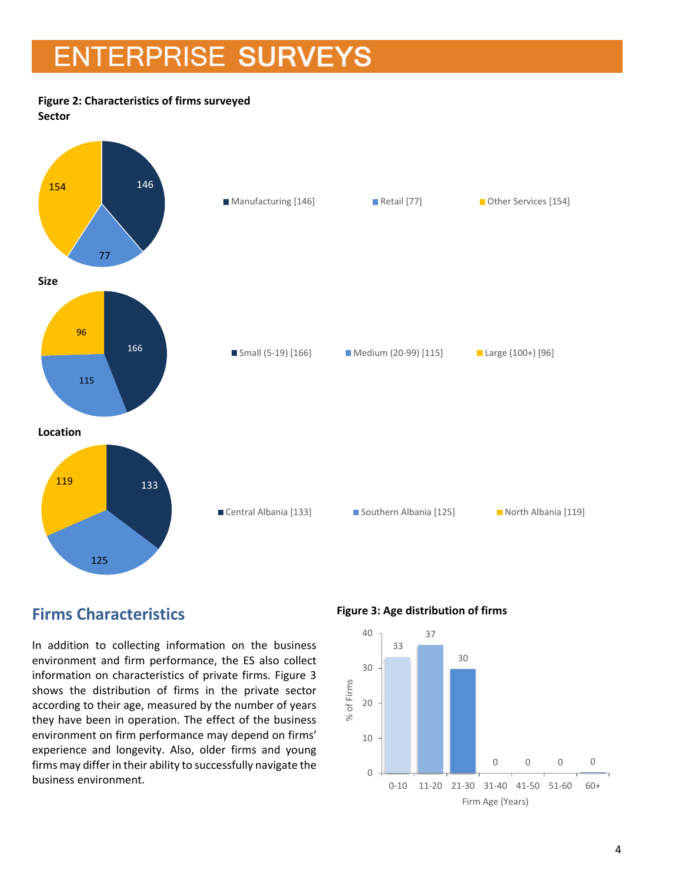### **Figure 2: Characteristics of firms surveyed**

**Sector**



## <span id="page-3-0"></span>**Firms Characteristics**

In addition to collecting information on the business environment and firm performance, the ES also collect information on characteristics of private firms. Figure 3 shows the distribution of firms in the private sector according to their age, measured by the number of years they have been in operation. The effect of the business environment on firm performance may depend on firms' experience and longevity. Also, older firms and young firms may differ in their ability to successfully navigate the business environment.

**Figure 3: Age distribution of firms**

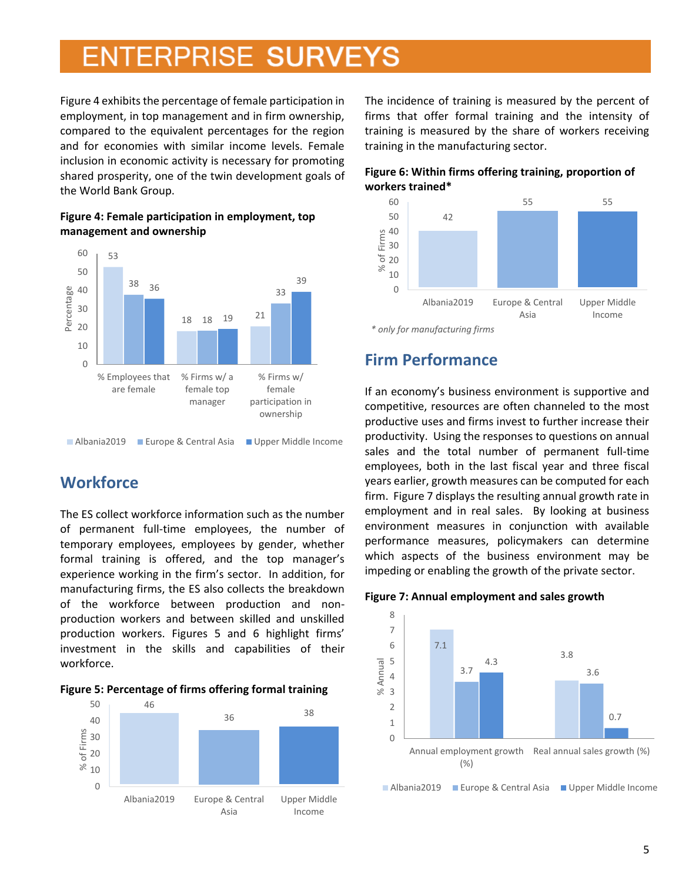Figure 4 exhibits the percentage of female participation in employment, in top management and in firm ownership, compared to the equivalent percentages for the region and for economies with similar income levels. Female inclusion in economic activity is necessary for promoting shared prosperity, one of the twin development goals of the World Bank Group.



#### **Figure 4: Female participation in employment, top management and ownership**

## <span id="page-4-0"></span>**Workforce**

The ES collect workforce information such as the number of permanent full-time employees, the number of temporary employees, employees by gender, whether formal training is offered, and the top manager's experience working in the firm's sector. In addition, for manufacturing firms, the ES also collects the breakdown of the workforce between production and nonproduction workers and between skilled and unskilled production workers. Figures 5 and 6 highlight firms' investment in the skills and capabilities of their workforce.





The incidence of training is measured by the percent of firms that offer formal training and the intensity of training is measured by the share of workers receiving training in the manufacturing sector.





<span id="page-4-1"></span>*<sup>\*</sup> only for manufacturing firms*

### **Firm Performance**

If an economy's business environment is supportive and competitive, resources are often channeled to the most productive uses and firms invest to further increase their productivity. Using the responses to questions on annual sales and the total number of permanent full-time employees, both in the last fiscal year and three fiscal years earlier, growth measures can be computed for each firm. Figure 7 displays the resulting annual growth rate in employment and in real sales. By looking at business environment measures in conjunction with available performance measures, policymakers can determine which aspects of the business environment may be impeding or enabling the growth of the private sector.



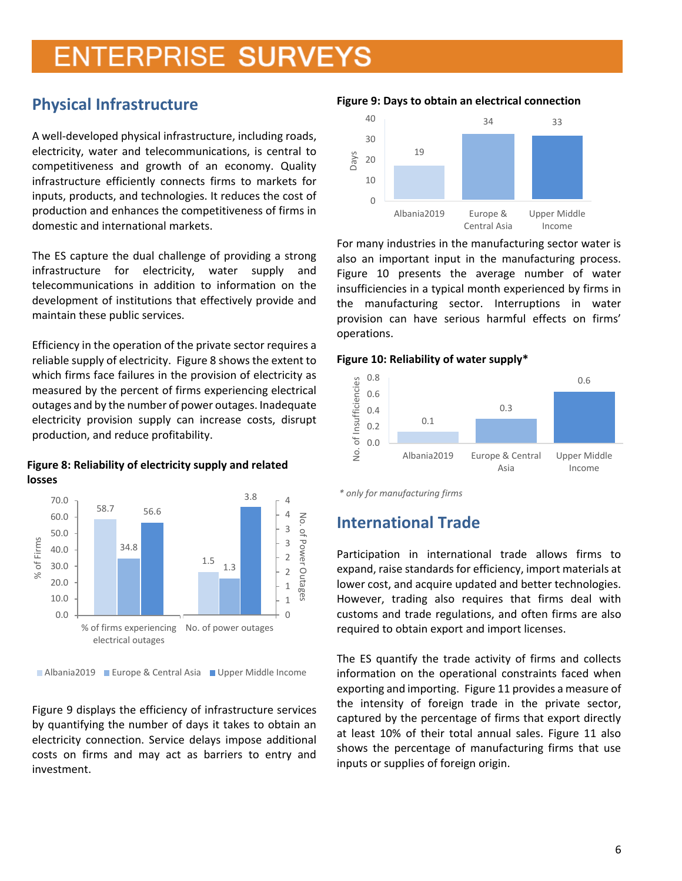## <span id="page-5-0"></span>**Physical Infrastructure**

A well-developed physical infrastructure, including roads, electricity, water and telecommunications, is central to competitiveness and growth of an economy. Quality infrastructure efficiently connects firms to markets for inputs, products, and technologies. It reduces the cost of production and enhances the competitiveness of firms in domestic and international markets.

The ES capture the dual challenge of providing a strong infrastructure for electricity, water supply and telecommunications in addition to information on the development of institutions that effectively provide and maintain these public services.

Efficiency in the operation of the private sector requires a reliable supply of electricity. Figure 8 shows the extent to which firms face failures in the provision of electricity as measured by the percent of firms experiencing electrical outages and by the number of power outages. Inadequate electricity provision supply can increase costs, disrupt production, and reduce profitability.

**Figure 8: Reliability of electricity supply and related losses**



<sup>■</sup> Albania2019 ■ Europe & Central Asia ■ Upper Middle Income

Figure 9 displays the efficiency of infrastructure services by quantifying the number of days it takes to obtain an electricity connection. Service delays impose additional costs on firms and may act as barriers to entry and investment.

#### **Figure 9: Days to obtain an electrical connection**



For many industries in the manufacturing sector water is also an important input in the manufacturing process. Figure 10 presents the average number of water insufficiencies in a typical month experienced by firms in the manufacturing sector. Interruptions in water provision can have serious harmful effects on firms' operations.

#### **Figure 10: Reliability of water supply\***



*<sup>\*</sup> only for manufacturing firms*

## <span id="page-5-1"></span>**International Trade**

Participation in international trade allows firms to expand, raise standards for efficiency, import materials at lower cost, and acquire updated and better technologies. However, trading also requires that firms deal with customs and trade regulations, and often firms are also required to obtain export and import licenses.

The ES quantify the trade activity of firms and collects information on the operational constraints faced when exporting and importing. Figure 11 provides a measure of the intensity of foreign trade in the private sector, captured by the percentage of firms that export directly at least 10% of their total annual sales. Figure 11 also shows the percentage of manufacturing firms that use inputs or supplies of foreign origin.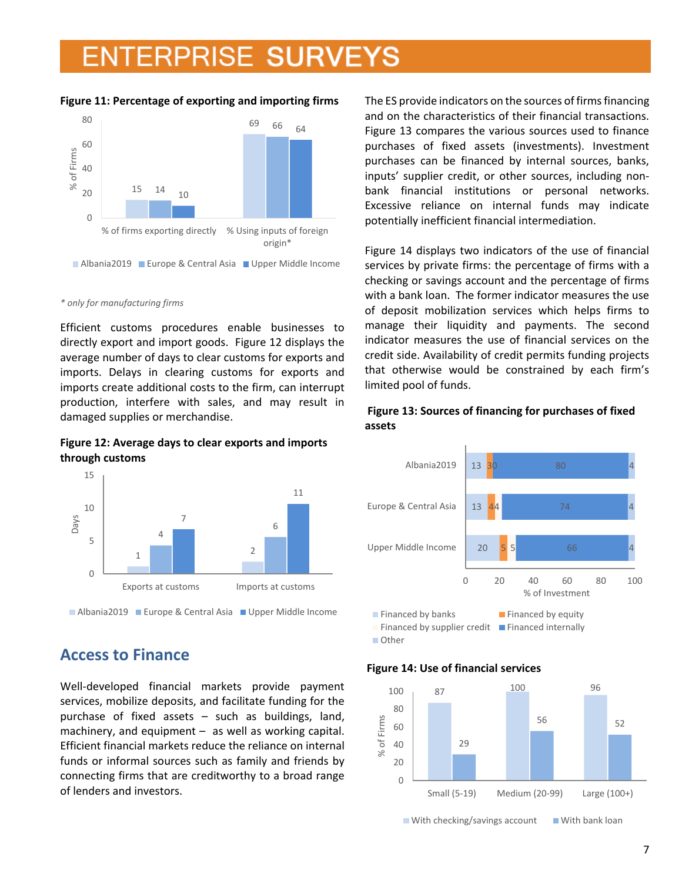#### **Figure 11: Percentage of exporting and importing firms**



#### *\* only for manufacturing firms*

Efficient customs procedures enable businesses to directly export and import goods. Figure 12 displays the average number of days to clear customs for exports and imports. Delays in clearing customs for exports and imports create additional costs to the firm, can interrupt production, interfere with sales, and may result in damaged supplies or merchandise.

#### **Figure 12: Average days to clear exports and imports through customs**



### <span id="page-6-0"></span>**Access to Finance**

Well-developed financial markets provide payment services, mobilize deposits, and facilitate funding for the purchase of fixed assets – such as buildings, land, machinery, and equipment – as well as working capital. Efficient financial markets reduce the reliance on internal funds or informal sources such as family and friends by connecting firms that are creditworthy to a broad range of lenders and investors.

The ES provide indicators on the sources of firms financing and on the characteristics of their financial transactions. Figure 13 compares the various sources used to finance purchases of fixed assets (investments). Investment purchases can be financed by internal sources, banks, inputs' supplier credit, or other sources, including nonbank financial institutions or personal networks. Excessive reliance on internal funds may indicate potentially inefficient financial intermediation.

Figure 14 displays two indicators of the use of financial services by private firms: the percentage of firms with a checking or savings account and the percentage of firms with a bank loan. The former indicator measures the use of deposit mobilization services which helps firms to manage their liquidity and payments. The second indicator measures the use of financial services on the credit side. Availability of credit permits funding projects that otherwise would be constrained by each firm's limited pool of funds.

#### **Figure 13: Sources of financing for purchases of fixed assets**



**Other** 

#### **Figure 14: Use of financial services**



 $\blacksquare$  With checking/savings account  $\blacksquare$  With bank loan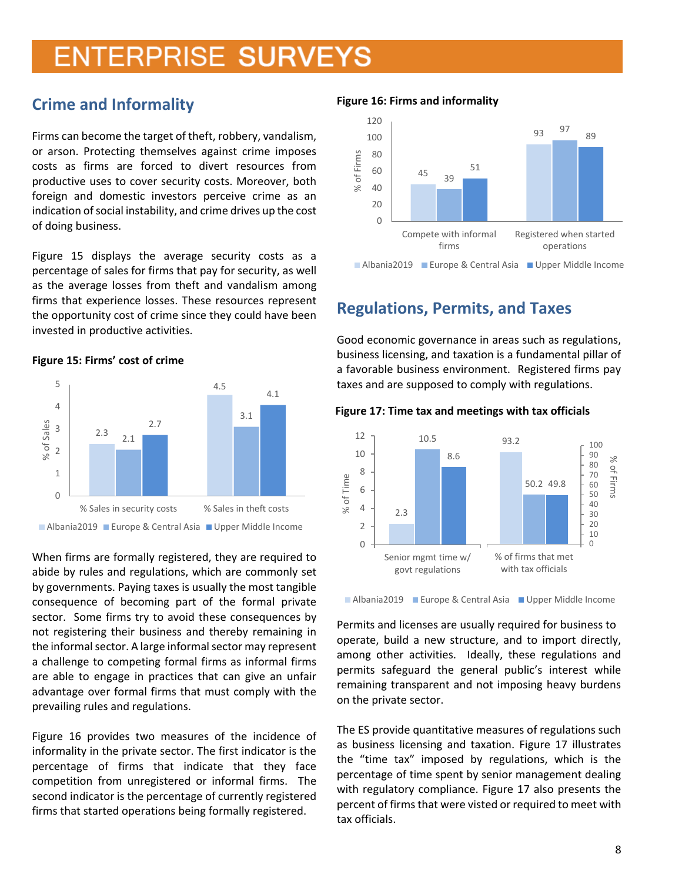## <span id="page-7-0"></span>**Crime and Informality**

Firms can become the target of theft, robbery, vandalism, or arson. Protecting themselves against crime imposes costs as firms are forced to divert resources from productive uses to cover security costs. Moreover, both foreign and domestic investors perceive crime as an indication of social instability, and crime drives up the cost of doing business.

Figure 15 displays the average security costs as a percentage of sales for firms that pay for security, as well as the average losses from theft and vandalism among firms that experience losses. These resources represent the opportunity cost of crime since they could have been invested in productive activities.

#### **Figure 15: Firms' cost of crime**



When firms are formally registered, they are required to abide by rules and regulations, which are commonly set by governments. Paying taxes is usually the most tangible consequence of becoming part of the formal private sector. Some firms try to avoid these consequences by not registering their business and thereby remaining in the informal sector. A large informal sector may represent a challenge to competing formal firms as informal firms are able to engage in practices that can give an unfair advantage over formal firms that must comply with the prevailing rules and regulations.

Figure 16 provides two measures of the incidence of informality in the private sector. The first indicator is the percentage of firms that indicate that they face competition from unregistered or informal firms. The second indicator is the percentage of currently registered firms that started operations being formally registered.

#### **Figure 16: Firms and informality**



### <span id="page-7-1"></span>**Regulations, Permits, and Taxes**

Good economic governance in areas such as regulations, business licensing, and taxation is a fundamental pillar of a favorable business environment. Registered firms pay taxes and are supposed to comply with regulations.

#### **Figure 17: Time tax and meetings with tax officials**



■ Albania2019 ■ Europe & Central Asia ■ Upper Middle Income

Permits and licenses are usually required for business to operate, build a new structure, and to import directly, among other activities. Ideally, these regulations and permits safeguard the general public's interest while remaining transparent and not imposing heavy burdens on the private sector.

The ES provide quantitative measures of regulations such as business licensing and taxation. Figure 17 illustrates the "time tax" imposed by regulations, which is the percentage of time spent by senior management dealing with regulatory compliance. Figure 17 also presents the percent of firms that were visted or required to meet with tax officials.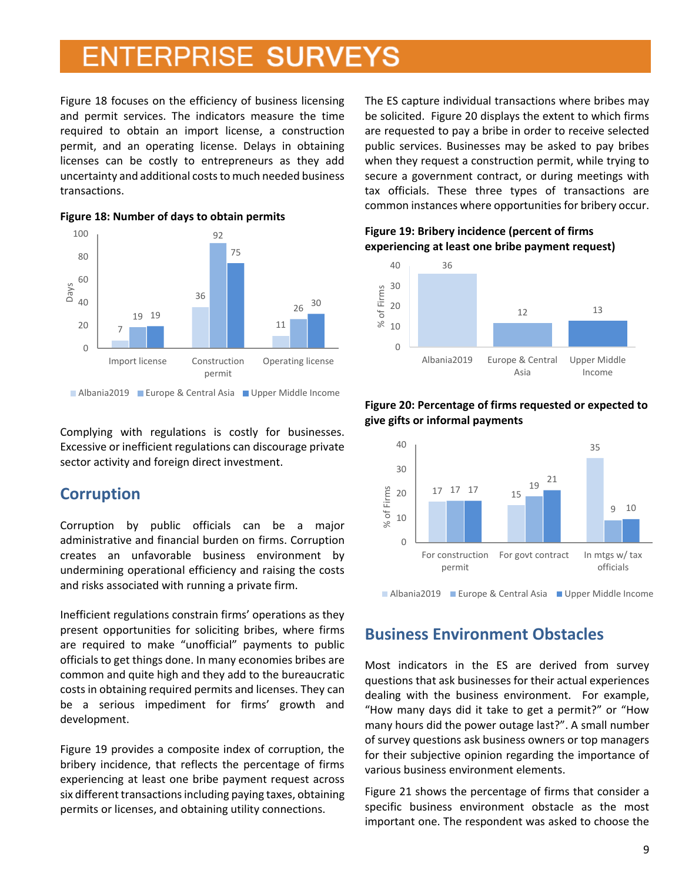Figure 18 focuses on the efficiency of business licensing and permit services. The indicators measure the time required to obtain an import license, a construction permit, and an operating license. Delays in obtaining licenses can be costly to entrepreneurs as they add uncertainty and additional costs to much needed business transactions.



**Figure 18: Number of days to obtain permits** 

Complying with regulations is costly for businesses. Excessive or inefficient regulations can discourage private sector activity and foreign direct investment.

### <span id="page-8-0"></span>**Corruption**

Corruption by public officials can be a major administrative and financial burden on firms. Corruption creates an unfavorable business environment by undermining operational efficiency and raising the costs and risks associated with running a private firm.

Inefficient regulations constrain firms' operations as they present opportunities for soliciting bribes, where firms are required to make "unofficial" payments to public officials to get things done. In many economies bribes are common and quite high and they add to the bureaucratic costs in obtaining required permits and licenses. They can be a serious impediment for firms' growth and development.

Figure 19 provides a composite index of corruption, the bribery incidence, that reflects the percentage of firms experiencing at least one bribe payment request across six different transactions including paying taxes, obtaining permits or licenses, and obtaining utility connections.

The ES capture individual transactions where bribes may be solicited. Figure 20 displays the extent to which firms are requested to pay a bribe in order to receive selected public services. Businesses may be asked to pay bribes when they request a construction permit, while trying to secure a government contract, or during meetings with tax officials. These three types of transactions are common instances where opportunities for bribery occur.

#### **Figure 19: Bribery incidence (percent of firms experiencing at least one bribe payment request)**





#### **Figure 20: Percentage of firms requested or expected to give gifts or informal payments**

■ Albania2019 ■ Europe & Central Asia ■ Upper Middle Income

### <span id="page-8-1"></span>**Business Environment Obstacles**

Most indicators in the ES are derived from survey questions that ask businesses for their actual experiences dealing with the business environment. For example, "How many days did it take to get a permit?" or "How many hours did the power outage last?". A small number of survey questions ask business owners or top managers for their subjective opinion regarding the importance of various business environment elements.

Figure 21 shows the percentage of firms that consider a specific business environment obstacle as the most important one. The respondent was asked to choose the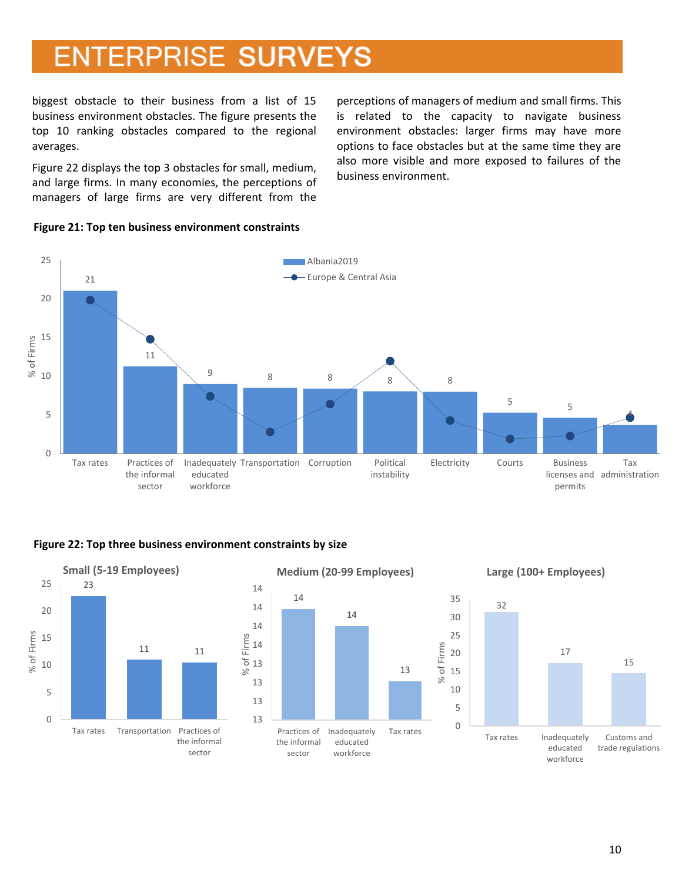biggest obstacle to their business from a list of 15 business environment obstacles. The figure presents the top 10 ranking obstacles compared to the regional averages.

Figure 22 displays the top 3 obstacles for small, medium, and large firms. In many economies, the perceptions of managers of large firms are very different from the perceptions of managers of medium and small firms. This is related to the capacity to navigate business environment obstacles: larger firms may have more options to face obstacles but at the same time they are also more visible and more exposed to failures of the business environment.



#### **Figure 21: Top ten business environment constraints**

#### **Figure 22: Top three business environment constraints by size**

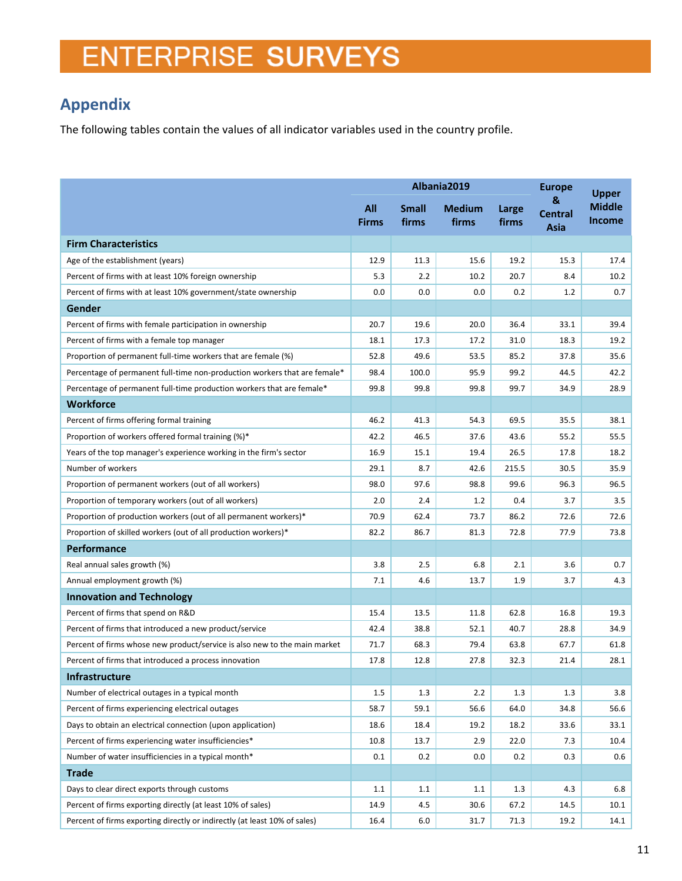## <span id="page-10-0"></span>**Appendix**

The following tables contain the values of all indicator variables used in the country profile.

|                                                                           | Albania2019         |                       |                        |                | <b>Europe</b>               | <b>Upper</b>                   |
|---------------------------------------------------------------------------|---------------------|-----------------------|------------------------|----------------|-----------------------------|--------------------------------|
|                                                                           | All<br><b>Firms</b> | <b>Small</b><br>firms | <b>Medium</b><br>firms | Large<br>firms | &<br><b>Central</b><br>Asia | <b>Middle</b><br><b>Income</b> |
| <b>Firm Characteristics</b>                                               |                     |                       |                        |                |                             |                                |
| Age of the establishment (years)                                          | 12.9                | 11.3                  | 15.6                   | 19.2           | 15.3                        | 17.4                           |
| Percent of firms with at least 10% foreign ownership                      | 5.3                 | 2.2                   | 10.2                   | 20.7           | 8.4                         | 10.2                           |
| Percent of firms with at least 10% government/state ownership             | 0.0                 | 0.0                   | 0.0                    | 0.2            | 1.2                         | 0.7                            |
| Gender                                                                    |                     |                       |                        |                |                             |                                |
| Percent of firms with female participation in ownership                   | 20.7                | 19.6                  | 20.0                   | 36.4           | 33.1                        | 39.4                           |
| Percent of firms with a female top manager                                | 18.1                | 17.3                  | 17.2                   | 31.0           | 18.3                        | 19.2                           |
| Proportion of permanent full-time workers that are female (%)             | 52.8                | 49.6                  | 53.5                   | 85.2           | 37.8                        | 35.6                           |
| Percentage of permanent full-time non-production workers that are female* | 98.4                | 100.0                 | 95.9                   | 99.2           | 44.5                        | 42.2                           |
| Percentage of permanent full-time production workers that are female*     | 99.8                | 99.8                  | 99.8                   | 99.7           | 34.9                        | 28.9                           |
| <b>Workforce</b>                                                          |                     |                       |                        |                |                             |                                |
| Percent of firms offering formal training                                 | 46.2                | 41.3                  | 54.3                   | 69.5           | 35.5                        | 38.1                           |
| Proportion of workers offered formal training (%)*                        | 42.2                | 46.5                  | 37.6                   | 43.6           | 55.2                        | 55.5                           |
| Years of the top manager's experience working in the firm's sector        | 16.9                | 15.1                  | 19.4                   | 26.5           | 17.8                        | 18.2                           |
| Number of workers                                                         | 29.1                | 8.7                   | 42.6                   | 215.5          | 30.5                        | 35.9                           |
| Proportion of permanent workers (out of all workers)                      | 98.0                | 97.6                  | 98.8                   | 99.6           | 96.3                        | 96.5                           |
| Proportion of temporary workers (out of all workers)                      | 2.0                 | 2.4                   | 1.2                    | 0.4            | 3.7                         | 3.5                            |
| Proportion of production workers (out of all permanent workers)*          | 70.9                | 62.4                  | 73.7                   | 86.2           | 72.6                        | 72.6                           |
| Proportion of skilled workers (out of all production workers)*            | 82.2                | 86.7                  | 81.3                   | 72.8           | 77.9                        | 73.8                           |
| <b>Performance</b>                                                        |                     |                       |                        |                |                             |                                |
| Real annual sales growth (%)                                              | 3.8                 | 2.5                   | 6.8                    | 2.1            | 3.6                         | 0.7                            |
| Annual employment growth (%)                                              | 7.1                 | 4.6                   | 13.7                   | 1.9            | 3.7                         | 4.3                            |
| <b>Innovation and Technology</b>                                          |                     |                       |                        |                |                             |                                |
| Percent of firms that spend on R&D                                        | 15.4                | 13.5                  | 11.8                   | 62.8           | 16.8                        | 19.3                           |
| Percent of firms that introduced a new product/service                    | 42.4                | 38.8                  | 52.1                   | 40.7           | 28.8                        | 34.9                           |
| Percent of firms whose new product/service is also new to the main market | 71.7                | 68.3                  | 79.4                   | 63.8           | 67.7                        | 61.8                           |
| Percent of firms that introduced a process innovation                     | 17.8                | 12.8                  | 27.8                   | 32.3           | 21.4                        | 28.1                           |
| Infrastructure                                                            |                     |                       |                        |                |                             |                                |
| Number of electrical outages in a typical month                           | 1.5                 | 1.3                   | 2.2                    | 1.3            | 1.3                         | 3.8                            |
| Percent of firms experiencing electrical outages                          | 58.7                | 59.1                  | 56.6                   | 64.0           | 34.8                        | 56.6                           |
| Days to obtain an electrical connection (upon application)                | 18.6                | 18.4                  | 19.2                   | 18.2           | 33.6                        | 33.1                           |
| Percent of firms experiencing water insufficiencies*                      | 10.8                | 13.7                  | 2.9                    | 22.0           | 7.3                         | 10.4                           |
| Number of water insufficiencies in a typical month*                       | 0.1                 | 0.2                   | 0.0                    | 0.2            | 0.3                         | 0.6                            |
| <b>Trade</b>                                                              |                     |                       |                        |                |                             |                                |
| Days to clear direct exports through customs                              | 1.1                 | 1.1                   | 1.1                    | 1.3            | 4.3                         | 6.8                            |
| Percent of firms exporting directly (at least 10% of sales)               | 14.9                | 4.5                   | 30.6                   | 67.2           | 14.5                        | 10.1                           |
| Percent of firms exporting directly or indirectly (at least 10% of sales) | 16.4                | 6.0                   | 31.7                   | 71.3           | 19.2                        | 14.1                           |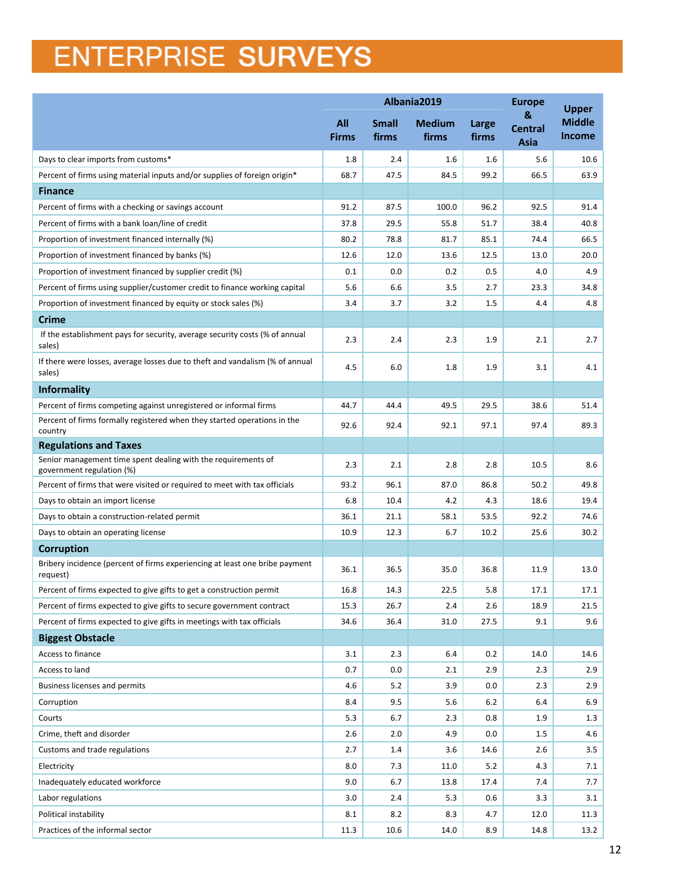|                                                                                            | Albania2019                |                       |                        |                | <b>Europe</b>               | <b>Upper</b>                   |
|--------------------------------------------------------------------------------------------|----------------------------|-----------------------|------------------------|----------------|-----------------------------|--------------------------------|
|                                                                                            | <b>All</b><br><b>Firms</b> | <b>Small</b><br>firms | <b>Medium</b><br>firms | Large<br>firms | &<br><b>Central</b><br>Asia | <b>Middle</b><br><b>Income</b> |
| Days to clear imports from customs*                                                        | 1.8                        | 2.4                   | 1.6                    | 1.6            | 5.6                         | 10.6                           |
| Percent of firms using material inputs and/or supplies of foreign origin*                  | 68.7                       | 47.5                  | 84.5                   | 99.2           | 66.5                        | 63.9                           |
| <b>Finance</b>                                                                             |                            |                       |                        |                |                             |                                |
| Percent of firms with a checking or savings account                                        | 91.2                       | 87.5                  | 100.0                  | 96.2           | 92.5                        | 91.4                           |
| Percent of firms with a bank loan/line of credit                                           | 37.8                       | 29.5                  | 55.8                   | 51.7           | 38.4                        | 40.8                           |
| Proportion of investment financed internally (%)                                           | 80.2                       | 78.8                  | 81.7                   | 85.1           | 74.4                        | 66.5                           |
| Proportion of investment financed by banks (%)                                             | 12.6                       | 12.0                  | 13.6                   | 12.5           | 13.0                        | 20.0                           |
| Proportion of investment financed by supplier credit (%)                                   | 0.1                        | 0.0                   | 0.2                    | 0.5            | 4.0                         | 4.9                            |
| Percent of firms using supplier/customer credit to finance working capital                 | 5.6                        | 6.6                   | 3.5                    | 2.7            | 23.3                        | 34.8                           |
| Proportion of investment financed by equity or stock sales (%)                             | 3.4                        | 3.7                   | 3.2                    | 1.5            | 4.4                         | 4.8                            |
| <b>Crime</b>                                                                               |                            |                       |                        |                |                             |                                |
| If the establishment pays for security, average security costs (% of annual<br>sales)      | 2.3                        | 2.4                   | 2.3                    | 1.9            | 2.1                         | 2.7                            |
| If there were losses, average losses due to theft and vandalism (% of annual<br>sales)     | 4.5                        | 6.0                   | 1.8                    | 1.9            | 3.1                         | 4.1                            |
| <b>Informality</b>                                                                         |                            |                       |                        |                |                             |                                |
| Percent of firms competing against unregistered or informal firms                          | 44.7                       | 44.4                  | 49.5                   | 29.5           | 38.6                        | 51.4                           |
| Percent of firms formally registered when they started operations in the<br>country        | 92.6                       | 92.4                  | 92.1                   | 97.1           | 97.4                        | 89.3                           |
| <b>Regulations and Taxes</b>                                                               |                            |                       |                        |                |                             |                                |
| Senior management time spent dealing with the requirements of<br>government regulation (%) | 2.3                        | 2.1                   | 2.8                    | 2.8            | 10.5                        | 8.6                            |
| Percent of firms that were visited or required to meet with tax officials                  | 93.2                       | 96.1                  | 87.0                   | 86.8           | 50.2                        | 49.8                           |
| Days to obtain an import license                                                           | 6.8                        | 10.4                  | 4.2                    | 4.3            | 18.6                        | 19.4                           |
| Days to obtain a construction-related permit                                               | 36.1                       | 21.1                  | 58.1                   | 53.5           | 92.2                        | 74.6                           |
| Days to obtain an operating license                                                        | 10.9                       | 12.3                  | 6.7                    | 10.2           | 25.6                        | 30.2                           |
| <b>Corruption</b>                                                                          |                            |                       |                        |                |                             |                                |
| Bribery incidence (percent of firms experiencing at least one bribe payment<br>request)    | 36.1                       | 36.5                  | 35.0                   | 36.8           | 11.9                        | 13.0                           |
| Percent of firms expected to give gifts to get a construction permit                       | 16.8                       | 14.3                  | 22.5                   | 5.8            | 17.1                        | 17.1                           |
| Percent of firms expected to give gifts to secure government contract                      | 15.3                       | 26.7                  | 2.4                    | 2.6            | 18.9                        | 21.5                           |
| Percent of firms expected to give gifts in meetings with tax officials                     | 34.6                       | 36.4                  | 31.0                   | 27.5           | 9.1                         | 9.6                            |
| <b>Biggest Obstacle</b>                                                                    |                            |                       |                        |                |                             |                                |
| Access to finance                                                                          | 3.1                        | 2.3                   | 6.4                    | 0.2            | 14.0                        | 14.6                           |
| Access to land                                                                             | 0.7                        | 0.0                   | 2.1                    | 2.9            | 2.3                         | 2.9                            |
| Business licenses and permits                                                              | 4.6                        | 5.2                   | 3.9                    | 0.0            | 2.3                         | 2.9                            |
| Corruption                                                                                 | 8.4                        | 9.5                   | 5.6                    | 6.2            | 6.4                         | 6.9                            |
| Courts                                                                                     | 5.3                        | 6.7                   | 2.3                    | 0.8            | 1.9                         | 1.3                            |
| Crime, theft and disorder                                                                  | 2.6                        | 2.0                   | 4.9                    | 0.0            | $1.5\,$                     | 4.6                            |
| Customs and trade regulations                                                              | 2.7                        | 1.4                   | 3.6                    | 14.6           | 2.6                         | 3.5                            |
| Electricity                                                                                | 8.0                        | 7.3                   | 11.0                   | 5.2            | 4.3                         | 7.1                            |
| Inadequately educated workforce                                                            | 9.0                        | 6.7                   | 13.8                   | 17.4           | 7.4                         | 7.7                            |
| Labor regulations                                                                          | 3.0                        | 2.4                   | 5.3                    | 0.6            | 3.3                         | 3.1                            |
| Political instability                                                                      | 8.1                        | 8.2                   | 8.3                    | 4.7            | 12.0                        | 11.3                           |
| Practices of the informal sector                                                           | 11.3                       | 10.6                  | 14.0                   | 8.9            | 14.8                        | 13.2                           |